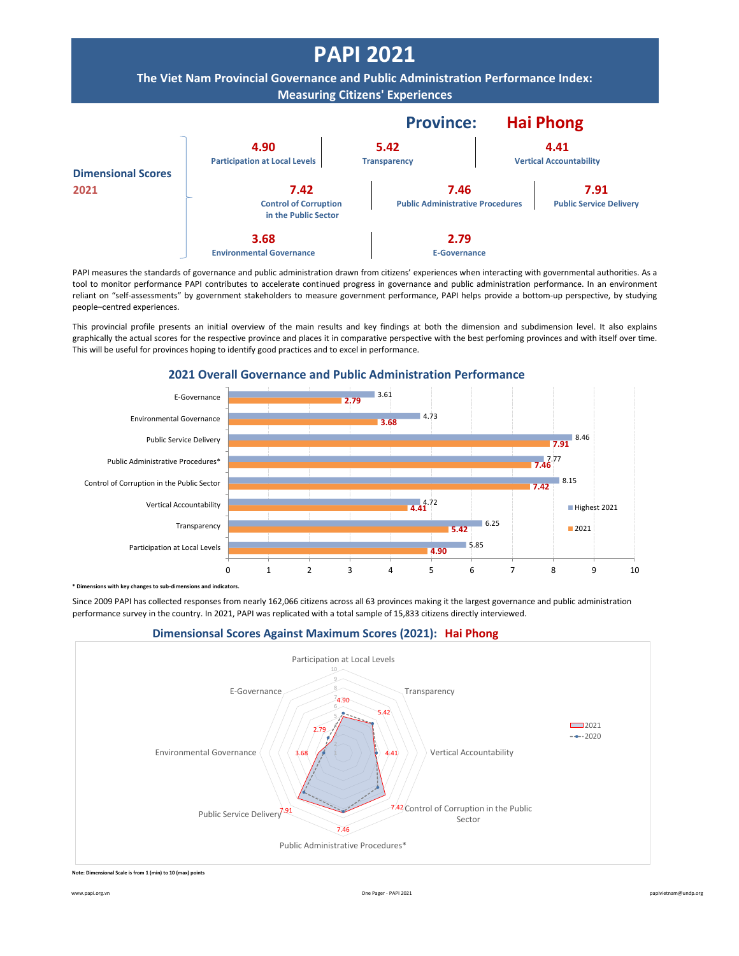

PAPI measures the standards of governance and public administration drawn from citizens' experiences when interacting with governmental authorities. As a tool to monitor performance PAPI contributes to accelerate continued progress in governance and public administration performance. In an environment reliant on "self-assessments" by government stakeholders to measure government performance, PAPI helps provide a bottom-up perspective, by studying people–centred experiences.

This provincial profile presents an initial overview of the main results and key findings at both the dimension and subdimension level. It also explains graphically the actual scores for the respective province and places it in comparative perspective with the best perfoming provinces and with itself over time. This will be useful for provinces hoping to identify good practices and to excel in performance.



**2021 Overall Governance and Public Administration Performance**

**bimenth componentify** changes to sub-dimensions and indicators.

Since 2009 PAPI has collected responses from nearly 162,066 citizens across all 63 provinces making it the largest governance and public administration performance survey in the country. In 2021, PAPI was replicated with a total sample of 15,833 citizens directly interviewed.





**Note: Dimensional Scale is from 1 (min) to 10 (max) points**